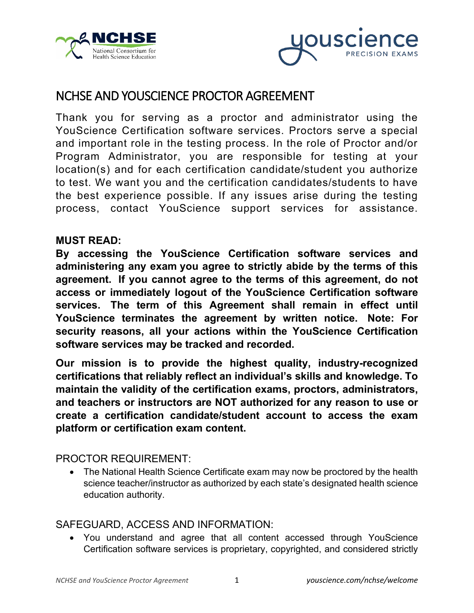



# NCHSE AND YOUSCIENCE PROCTOR AGREEMENT

Thank you for serving as a proctor and administrator using the YouScience Certification software services. Proctors serve a special and important role in the testing process. In the role of Proctor and/or Program Administrator, you are responsible for testing at your location(s) and for each certification candidate/student you authorize to test. We want you and the certification candidates/students to have the best experience possible. If any issues arise during the testing process, contact YouScience support services for assistance.

## **MUST READ:**

**By accessing the YouScience Certification software services and administering any exam you agree to strictly abide by the terms of this agreement. If you cannot agree to the terms of this agreement, do not access or immediately logout of the YouScience Certification software services. The term of this Agreement shall remain in effect until YouScience terminates the agreement by written notice. Note: For security reasons, all your actions within the YouScience Certification software services may be tracked and recorded.**

**Our mission is to provide the highest quality, industry-recognized certifications that reliably reflect an individual's skills and knowledge. To maintain the validity of the certification exams, proctors, administrators, and teachers or instructors are NOT authorized for any reason to use or create a certification candidate/student account to access the exam platform or certification exam content.** 

## PROCTOR REQUIREMENT:

• The National Health Science Certificate exam may now be proctored by the health science teacher/instructor as authorized by each state's designated health science education authority.

## SAFEGUARD, ACCESS AND INFORMATION:

• You understand and agree that all content accessed through YouScience Certification software services is proprietary, copyrighted, and considered strictly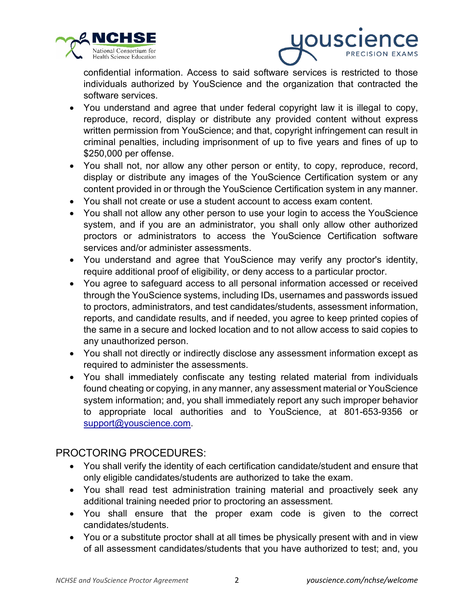



confidential information. Access to said software services is restricted to those individuals authorized by YouScience and the organization that contracted the software services.

- You understand and agree that under federal copyright law it is illegal to copy, reproduce, record, display or distribute any provided content without express written permission from YouScience; and that, copyright infringement can result in criminal penalties, including imprisonment of up to five years and fines of up to \$250,000 per offense.
- You shall not, nor allow any other person or entity, to copy, reproduce, record, display or distribute any images of the YouScience Certification system or any content provided in or through the YouScience Certification system in any manner.
- You shall not create or use a student account to access exam content.
- You shall not allow any other person to use your login to access the YouScience system, and if you are an administrator, you shall only allow other authorized proctors or administrators to access the YouScience Certification software services and/or administer assessments.
- You understand and agree that YouScience may verify any proctor's identity, require additional proof of eligibility, or deny access to a particular proctor.
- You agree to safeguard access to all personal information accessed or received through the YouScience systems, including IDs, usernames and passwords issued to proctors, administrators, and test candidates/students, assessment information, reports, and candidate results, and if needed, you agree to keep printed copies of the same in a secure and locked location and to not allow access to said copies to any unauthorized person.
- You shall not directly or indirectly disclose any assessment information except as required to administer the assessments.
- You shall immediately confiscate any testing related material from individuals found cheating or copying, in any manner, any assessment material or YouScience system information; and, you shall immediately report any such improper behavior to appropriate local authorities and to YouScience, at 801-653-9356 or [support@youscience.com.](mailto:support@youscience.com)

## PROCTORING PROCEDURES:

- You shall verify the identity of each certification candidate/student and ensure that only eligible candidates/students are authorized to take the exam.
- You shall read test administration training material and proactively seek any additional training needed prior to proctoring an assessment.
- You shall ensure that the proper exam code is given to the correct candidates/students.
- You or a substitute proctor shall at all times be physically present with and in view of all assessment candidates/students that you have authorized to test; and, you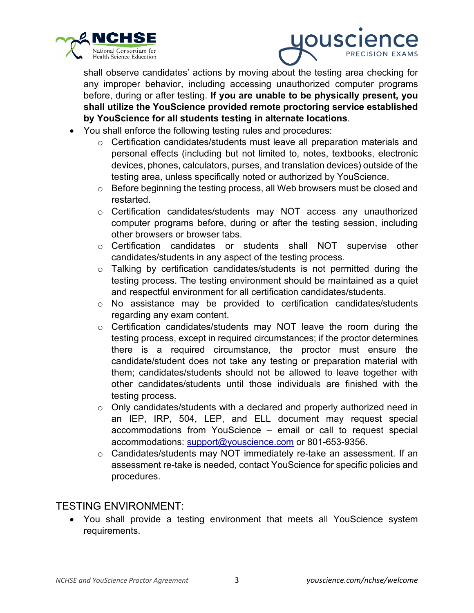



shall observe candidates' actions by moving about the testing area checking for any improper behavior, including accessing unauthorized computer programs before, during or after testing. **If you are unable to be physically present, you shall utilize the YouScience provided remote proctoring service established by YouScience for all students testing in alternate locations**.

- You shall enforce the following testing rules and procedures:
	- $\circ$  Certification candidates/students must leave all preparation materials and personal effects (including but not limited to, notes, textbooks, electronic devices, phones, calculators, purses, and translation devices) outside of the testing area, unless specifically noted or authorized by YouScience.
	- o Before beginning the testing process, all Web browsers must be closed and restarted.
	- o Certification candidates/students may NOT access any unauthorized computer programs before, during or after the testing session, including other browsers or browser tabs.
	- o Certification candidates or students shall NOT supervise other candidates/students in any aspect of the testing process.
	- $\circ$  Talking by certification candidates/students is not permitted during the testing process. The testing environment should be maintained as a quiet and respectful environment for all certification candidates/students.
	- $\circ$  No assistance may be provided to certification candidates/students regarding any exam content.
	- o Certification candidates/students may NOT leave the room during the testing process, except in required circumstances; if the proctor determines there is a required circumstance, the proctor must ensure the candidate/student does not take any testing or preparation material with them; candidates/students should not be allowed to leave together with other candidates/students until those individuals are finished with the testing process.
	- $\circ$  Only candidates/students with a declared and properly authorized need in an IEP, IRP, 504, LEP, and ELL document may request special accommodations from YouScience – email or call to request special accommodations: [support@youscience.com](mailto:support@youscience.com) or 801-653-9356.
	- o Candidates/students may NOT immediately re-take an assessment. If an assessment re-take is needed, contact YouScience for specific policies and procedures.

## TESTING ENVIRONMENT:

• You shall provide a testing environment that meets all YouScience system requirements.